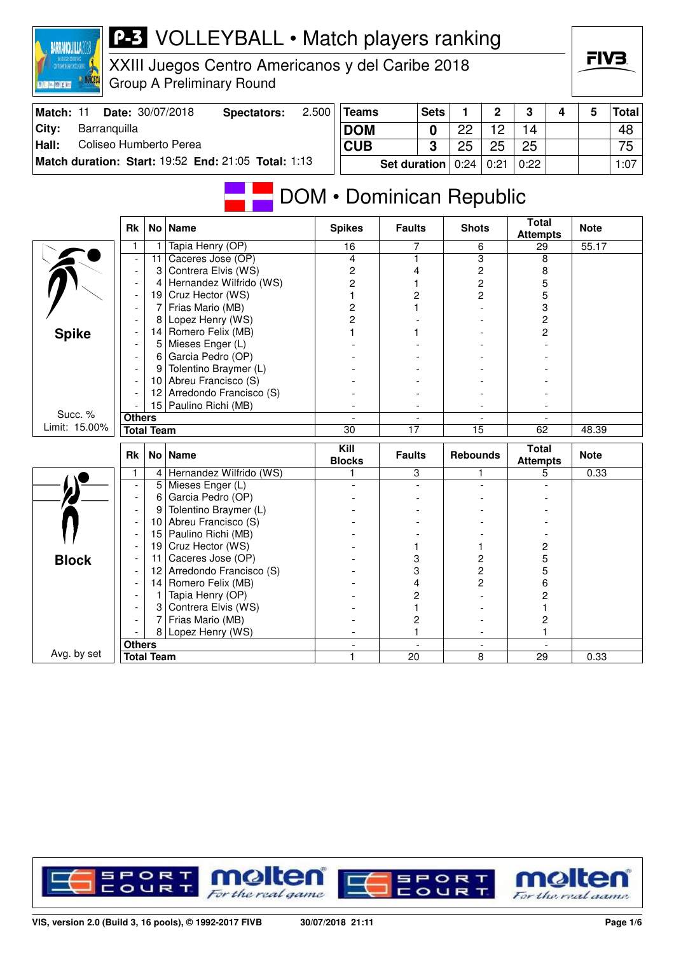| <b>MARCECA</b><br>日に三郎とに          |                                            |                   | <b>Group A Preliminary Round</b>                    |       |                                    |                          |                         |                         |                |                          |   |             |              |
|-----------------------------------|--------------------------------------------|-------------------|-----------------------------------------------------|-------|------------------------------------|--------------------------|-------------------------|-------------------------|----------------|--------------------------|---|-------------|--------------|
| Match: 11                         |                                            |                   | Date: 30/07/2018<br><b>Spectators:</b>              | 2.500 | <b>Teams</b>                       |                          | <b>Sets</b>             | 1                       | $\mathbf 2$    | $\mathbf 3$              | 4 | 5           | <b>Total</b> |
| City:<br>Barranquilla             |                                            |                   |                                                     |       | <b>DOM</b>                         |                          | $\mathbf 0$             | 22                      | 12             | 14                       |   |             | 48           |
| Hall:<br>Coliseo Humberto Perea   |                                            |                   |                                                     |       | <b>CUB</b>                         |                          | $\overline{\mathbf{3}}$ | 25                      | 25             | 25                       |   |             | 75           |
|                                   |                                            |                   | Match duration: Start: 19:52 End: 21:05 Total: 1:13 |       |                                    |                          |                         |                         |                |                          |   |             |              |
|                                   |                                            |                   |                                                     |       |                                    | <b>Set duration</b>      |                         | 0:24                    | 0:21           | 0:22                     |   |             | 1:07         |
| DOM • Dominican Republic<br>Total |                                            |                   |                                                     |       |                                    |                          |                         |                         |                |                          |   |             |              |
|                                   | Rk                                         | No Name           |                                                     |       | <b>Spikes</b>                      | <b>Faults</b>            |                         | <b>Shots</b>            |                | <b>Attempts</b>          |   | <b>Note</b> |              |
|                                   | 1                                          | 1                 | Tapia Henry (OP)                                    |       | 16                                 | 7                        |                         | 6                       |                | 29                       |   | 55.17       |              |
|                                   | $\overline{\phantom{a}}$                   | 11                | Caceres Jose (OP)                                   |       | 4                                  | 1                        |                         | 3                       |                | 8                        |   |             |              |
|                                   | $\blacksquare$                             | 3                 | Contrera Elvis (WS)                                 |       | 2                                  | 4                        |                         | $\overline{c}$          |                | 8                        |   |             |              |
|                                   | $\overline{\phantom{a}}$                   | 4                 | Hernandez Wilfrido (WS)                             |       | $\overline{c}$                     | 1                        |                         | $\overline{\mathbf{c}}$ |                | 5                        |   |             |              |
|                                   | $\overline{\phantom{a}}$                   | 19                | Cruz Hector (WS)<br>Frias Mario (MB)                |       | 1                                  | $\overline{2}$<br>1      |                         | $\overline{c}$          |                | 5                        |   |             |              |
|                                   | $\blacksquare$<br>$\blacksquare$           | 7<br>8            | Lopez Henry (WS)                                    |       | $\overline{c}$<br>$\overline{c}$   |                          |                         |                         |                | 3<br>2                   |   |             |              |
|                                   | $\overline{a}$                             | 4                 | Romero Felix (MB)                                   |       | 1                                  | 1                        |                         |                         |                |                          |   |             |              |
| <b>Spike</b>                      | $\overline{a}$                             |                   | 5 Mieses Enger (L)                                  |       |                                    |                          |                         |                         |                | 2                        |   |             |              |
|                                   | $\blacksquare$                             | 6                 | Garcia Pedro (OP)                                   |       |                                    |                          |                         |                         |                |                          |   |             |              |
|                                   | $\blacksquare$                             | 9                 | Tolentino Braymer (L)                               |       |                                    |                          |                         |                         |                |                          |   |             |              |
|                                   | $\overline{\phantom{a}}$                   | 10                | Abreu Francisco (S)                                 |       |                                    |                          |                         |                         |                |                          |   |             |              |
|                                   |                                            |                   | 12 Arredondo Francisco (S)                          |       |                                    |                          |                         |                         |                |                          |   |             |              |
|                                   |                                            |                   | 15 Paulino Richi (MB)                               |       | $\overline{\phantom{a}}$           | $\overline{\phantom{a}}$ |                         |                         |                |                          |   |             |              |
| Succ. %                           | <b>Others</b>                              |                   |                                                     |       |                                    |                          |                         |                         |                |                          |   |             |              |
| Limit: 15.00%                     |                                            | <b>Total Team</b> |                                                     |       | 30                                 | 17                       |                         | 15                      |                | 62                       |   | 48.39       |              |
|                                   | <b>Rk</b>                                  | <b>No</b>         | <b>Name</b>                                         |       | $\overline{$ Kill<br><b>Blocks</b> | <b>Faults</b>            |                         | <b>Rebounds</b>         |                | Total<br><b>Attempts</b> |   | <b>Note</b> |              |
|                                   | 1                                          |                   | 4 Hernandez Wilfrido (WS)                           |       | 1                                  | 3                        |                         | 1                       |                | 5                        |   | 0.33        |              |
|                                   | $\overline{\phantom{a}}$                   |                   | 5 Mieses Enger (L)                                  |       | $\overline{a}$                     |                          | $\bar{\phantom{a}}$     |                         | $\overline{a}$ |                          |   |             |              |
|                                   | $\overline{\phantom{a}}$                   | 6                 | Garcia Pedro (OP)                                   |       |                                    |                          |                         |                         |                |                          |   |             |              |
|                                   | $\blacksquare$<br>$\overline{\phantom{a}}$ | 9<br>10           | Tolentino Braymer (L)<br>Abreu Francisco (S)        |       |                                    |                          |                         |                         |                |                          |   |             |              |
|                                   |                                            |                   | 15   Paulino Richi (MB)                             |       |                                    |                          |                         |                         |                |                          |   |             |              |
|                                   | $\overline{a}$                             | 19 <sup>1</sup>   | Cruz Hector (WS)                                    |       |                                    | 1                        |                         | 1                       |                | 2                        |   |             |              |
| <b>Block</b>                      | $\overline{\phantom{a}}$                   | 11 <sup>1</sup>   | Caceres Jose (OP)                                   |       |                                    | 3                        |                         | 2                       |                | 5                        |   |             |              |
|                                   | $\overline{\phantom{a}}$                   | 12 <sup>°</sup>   | Arredondo Francisco (S)                             |       |                                    | 3                        |                         | 2                       |                | 5                        |   |             |              |
|                                   | $\overline{a}$                             | 14                | Romero Felix (MB)                                   |       |                                    | 4                        |                         | 2                       |                | 6                        |   |             |              |
|                                   | $\blacksquare$                             | 1                 | Tapia Henry (OP)                                    |       |                                    | 2                        |                         |                         |                | 2                        |   |             |              |
|                                   | $\blacksquare$                             | 3                 | Contrera Elvis (WS)                                 |       |                                    | 1                        |                         |                         |                | 1                        |   |             |              |
|                                   | $\overline{\phantom{a}}$                   | 7                 | Frias Mario (MB)                                    |       |                                    | 2                        |                         |                         |                | $\overline{\mathbf{c}}$  |   |             |              |
|                                   | 8 <sup>1</sup><br>Lopez Henry (WS)         |                   |                                                     |       |                                    | 1                        |                         |                         |                | 1                        |   |             |              |
|                                   | <b>Others</b>                              |                   |                                                     |       | $\overline{a}$                     | $\overline{a}$           |                         |                         | $\blacksquare$ |                          |   |             |              |
| Avg. by set                       |                                            | <b>Total Team</b> |                                                     |       | 1                                  | 20                       |                         | 8                       |                | 29                       |   | 0.33        |              |

**P-3** VOLLEYBALL • Match players ranking

XXIII Juegos Centro Americanos y del Caribe 2018

**RARRANCI III I A** 

RCECA



FIV3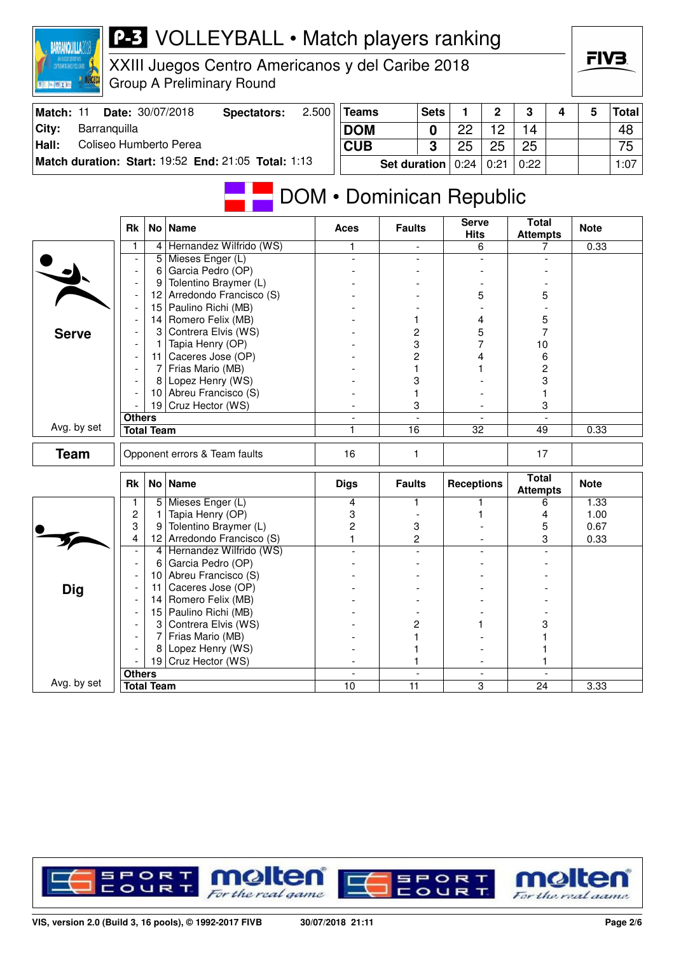

## **P-3** VOLLEYBALL • Match players ranking

XXIII Juegos Centro Americanos y del Caribe 2018 Group A Preliminary Round

| Match: 11 | Date: 30/07/2018                                    | Spectators: | 2.500 | Teams                                      | <b>Sets</b> |    | $\mathbf{\Omega}$ | າ    |  | <b>Total</b>    |
|-----------|-----------------------------------------------------|-------------|-------|--------------------------------------------|-------------|----|-------------------|------|--|-----------------|
| City:     | Barranquilla                                        |             |       | <b>DOM</b>                                 |             | ററ |                   | 14   |  | 48              |
| Hall:     | Coliseo Humberto Perea                              |             |       | <b>CUB</b>                                 |             | 25 | クら                | 25   |  | 75 <sub>1</sub> |
|           | Match duration: Start: 19:52 End: 21:05 Total: 1:13 |             |       | Set duration $\vert 0:24 \vert 0:21 \vert$ |             |    |                   | 0:22 |  | 1:07            |

## DOM • Dominican Republic

|              | <b>Rk</b>                     |                   | No   Name               | <b>Aces</b>                    | <b>Faults</b>        | <b>Serve</b><br><b>Hits</b>   | <b>Total</b><br><b>Attempts</b> | <b>Note</b> |
|--------------|-------------------------------|-------------------|-------------------------|--------------------------------|----------------------|-------------------------------|---------------------------------|-------------|
|              | 1                             | 4                 | Hernandez Wilfrido (WS) | 1                              | $\blacksquare$       | 6                             | 7                               | 0.33        |
|              |                               | 5                 | Mieses Enger (L)        | $\overline{\phantom{a}}$       | $\overline{a}$       |                               |                                 |             |
|              | $\overline{\phantom{a}}$      | 6                 | Garcia Pedro (OP)       |                                |                      |                               |                                 |             |
|              | $\overline{\phantom{a}}$      | 9                 | Tolentino Braymer (L)   |                                |                      |                               |                                 |             |
|              | $\overline{\phantom{a}}$      | 12                | Arredondo Francisco (S) |                                |                      | 5                             | 5                               |             |
|              | $\overline{\phantom{a}}$      | 15                | Paulino Richi (MB)      |                                |                      |                               |                                 |             |
|              | $\overline{\phantom{a}}$      | 14                | Romero Felix (MB)       |                                | 1                    | 4                             | 5                               |             |
| <b>Serve</b> |                               | 3                 | Contrera Elvis (WS)     |                                | 2                    | 5                             | 7                               |             |
|              |                               | 1                 | Tapia Henry (OP)        |                                | 3                    | 7                             | 10                              |             |
|              | $\overline{\phantom{a}}$      | 11 <sup>1</sup>   | Caceres Jose (OP)       |                                | $\overline{c}$       | 4                             | 6                               |             |
|              |                               | 7                 | Frias Mario (MB)        |                                | 1                    |                               | 2                               |             |
|              |                               | 8                 | Lopez Henry (WS)        |                                | 3                    |                               | 3                               |             |
|              |                               | 10 <sup>1</sup>   | Abreu Francisco (S)     |                                | 1                    |                               |                                 |             |
|              |                               |                   | 19 Cruz Hector (WS)     |                                | 3                    |                               | 3                               |             |
|              | <b>Others</b>                 |                   |                         | $\overline{\phantom{a}}$       | $\blacksquare$       | $\overline{\phantom{a}}$      | $\sim$                          |             |
| Avg. by set  |                               | <b>Total Team</b> |                         | 1                              | 16                   | $\overline{32}$               | 49                              | 0.33        |
| <b>Team</b>  | Opponent errors & Team faults |                   | 16                      | $\mathbf{1}$                   |                      | 17                            |                                 |             |
|              |                               |                   |                         |                                |                      |                               |                                 |             |
|              | <b>Rk</b>                     |                   | No   Name               | <b>Digs</b>                    | <b>Faults</b>        | <b>Receptions</b>             | <b>Total</b><br><b>Attempts</b> | <b>Note</b> |
|              | 1                             | 5 <sup>1</sup>    | Mieses Enger (L)        | 4                              | 1                    |                               | 6                               | 1.33        |
|              | $\overline{c}$                | 1                 | Tapia Henry (OP)        | 3                              |                      |                               | 4                               | 1.00        |
|              | 3                             | 9                 | Tolentino Braymer (L)   | 2                              | 3                    |                               | 5                               | 0.67        |
|              | 4                             | 12 <sup>2</sup>   | Arredondo Francisco (S) | 1                              | $\overline{2}$       |                               | 3                               | 0.33        |
|              | $\overline{\phantom{a}}$      | $\overline{4}$    | Hernandez Wilfrido (WS) | $\overline{a}$                 | $\blacksquare$       |                               |                                 |             |
|              | $\overline{\phantom{a}}$      | 6                 | Garcia Pedro (OP)       |                                |                      |                               |                                 |             |
|              |                               | 10                | Abreu Francisco (S)     |                                |                      |                               |                                 |             |
|              |                               | 11                | Caceres Jose (OP)       |                                |                      |                               |                                 |             |
| <b>Dig</b>   | $\overline{\phantom{a}}$      | 14                | Romero Felix (MB)       |                                |                      |                               |                                 |             |
|              |                               | 15                | Paulino Richi (MB)      |                                |                      |                               |                                 |             |
|              |                               | 3                 | Contrera Elvis (WS)     |                                | 2                    |                               | 3                               |             |
|              |                               | 7                 | Frias Mario (MB)        |                                |                      |                               |                                 |             |
|              |                               | 8                 | Lopez Henry (WS)        |                                |                      |                               |                                 |             |
|              |                               |                   | 19 Cruz Hector (WS)     |                                | 1                    |                               |                                 |             |
| Avg. by set  | <b>Others</b>                 | <b>Total Team</b> |                         | $\overline{\phantom{a}}$<br>10 | $\blacksquare$<br>11 | $\overline{\phantom{a}}$<br>3 | 24                              | 3.33        |

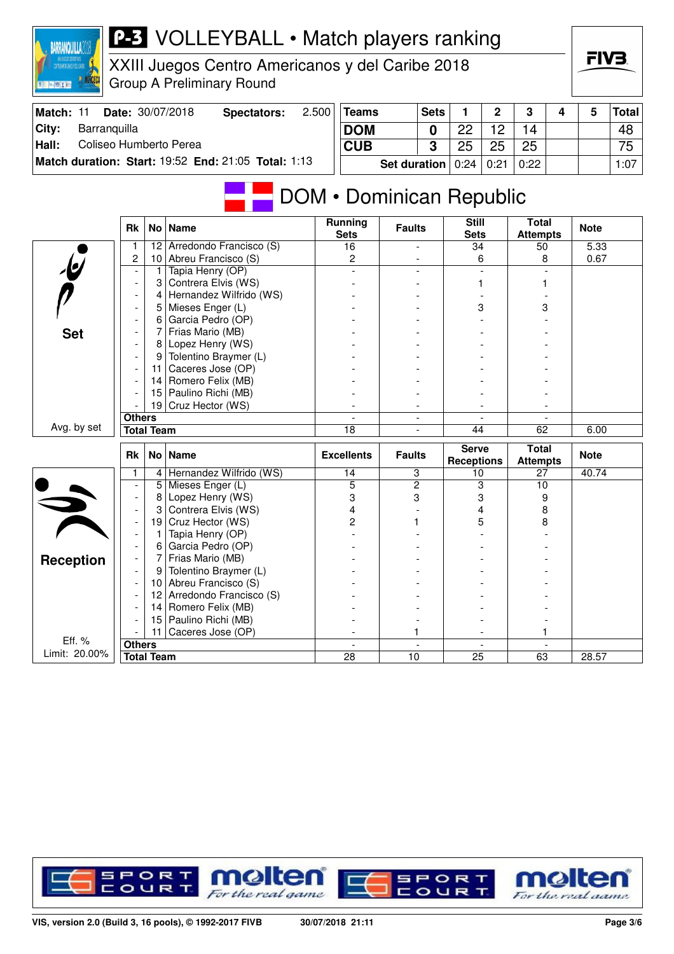

## **P-3** VOLLEYBALL • Match players ranking

XXIII Juegos Centro Americanos y del Caribe 2018 Group A Preliminary Round

| Match: 11 | <b>Date: 30/07/2018</b>                             | Spectators: | 2.500 | <b>Teams</b>          | <b>Sets</b> |    | $\mathbf{c}$ | 3    |  | <b>Total</b> |
|-----------|-----------------------------------------------------|-------------|-------|-----------------------|-------------|----|--------------|------|--|--------------|
| City:     | Barranquilla                                        |             |       | <b>DOM</b>            |             | ററ |              | 14   |  | 48           |
| Hall:     | Coliseo Humberto Perea                              |             |       | <b>CUB</b>            |             | 25 | 25           | 25   |  | 75           |
|           | Match duration: Start: 19:52 End: 21:05 Total: 1:13 |             |       | Set duration $ 0:24 $ |             |    | 0:21         | 0:22 |  | 1:07         |

## **DOM • Dominican Republic**

|                         | <b>Rk</b>                          |                 | No Name                 | <b>Running</b><br><b>Sets</b> | <b>Faults</b>            | <b>Still</b><br><b>Sets</b>       | <b>Total</b><br><b>Attempts</b> | <b>Note</b> |
|-------------------------|------------------------------------|-----------------|-------------------------|-------------------------------|--------------------------|-----------------------------------|---------------------------------|-------------|
|                         | 1                                  | 12              | Arredondo Francisco (S) | 16                            |                          | 34                                | 50                              | 5.33        |
|                         | $\overline{c}$                     | 10 <sup>1</sup> | Abreu Francisco (S)     | $\overline{c}$                |                          | 6                                 | 8                               | 0.67        |
| $\overline{\mathbf{e}}$ | $\overline{\phantom{a}}$           | 1               | Tapia Henry (OP)        |                               |                          |                                   |                                 |             |
|                         |                                    | 3               | Contrera Elvis (WS)     |                               |                          |                                   |                                 |             |
|                         |                                    | 4               | Hernandez Wilfrido (WS) |                               |                          |                                   |                                 |             |
|                         |                                    | 5               | Mieses Enger (L)        |                               |                          | 3                                 | 3                               |             |
|                         |                                    | 6               | Garcia Pedro (OP)       |                               |                          |                                   |                                 |             |
| <b>Set</b>              |                                    | 7               | Frias Mario (MB)        |                               |                          |                                   |                                 |             |
|                         |                                    | 8               | Lopez Henry (WS)        |                               |                          |                                   |                                 |             |
|                         |                                    | 9               | Tolentino Braymer (L)   |                               |                          |                                   |                                 |             |
|                         |                                    | 11              | Caceres Jose (OP)       |                               |                          |                                   |                                 |             |
|                         |                                    | 14              | Romero Felix (MB)       |                               |                          |                                   |                                 |             |
|                         |                                    | 15              | Paulino Richi (MB)      |                               |                          |                                   |                                 |             |
|                         |                                    | 19 <sup>1</sup> | Cruz Hector (WS)        |                               |                          |                                   |                                 |             |
|                         | <b>Others</b>                      |                 |                         | $\overline{\phantom{a}}$      | $\overline{\phantom{0}}$ | $\overline{\phantom{a}}$          | $\overline{\phantom{a}}$        |             |
| Avg. by set             | <b>Total Team</b>                  |                 | 18                      | $\overline{\phantom{0}}$      | 44                       | 62                                | 6.00                            |             |
|                         |                                    |                 |                         |                               |                          |                                   |                                 |             |
|                         | <b>Rk</b>                          |                 | No   Name               | <b>Excellents</b>             | <b>Faults</b>            | <b>Serve</b><br><b>Receptions</b> | <b>Total</b><br><b>Attempts</b> | <b>Note</b> |
|                         | 1                                  | $\overline{4}$  | Hernandez Wilfrido (WS) | 14                            | 3                        | 10                                | 27                              | 40.74       |
|                         |                                    | 5               | Mieses Enger (L)        | 5                             | $\overline{2}$           | 3                                 | 10                              |             |
|                         | $\overline{\phantom{a}}$           | 8               | Lopez Henry (WS)        | 3                             | 3                        | 3                                 | 9                               |             |
|                         | $\blacksquare$                     | 3               | Contrera Elvis (WS)     | 4                             |                          | 4                                 | 8                               |             |
|                         | $\overline{\phantom{a}}$           | 19              | Cruz Hector (WS)        | 2                             |                          | 5                                 | 8                               |             |
|                         | $\overline{\phantom{a}}$           | 1               | Tapia Henry (OP)        |                               |                          |                                   |                                 |             |
|                         |                                    | 6               | Garcia Pedro (OP)       |                               |                          |                                   |                                 |             |
|                         |                                    | 7               | Frias Mario (MB)        |                               |                          |                                   |                                 |             |
| <b>Reception</b>        |                                    | 9               | Tolentino Braymer (L)   |                               |                          |                                   |                                 |             |
|                         |                                    | 10 <sup>1</sup> | Abreu Francisco (S)     |                               |                          |                                   |                                 |             |
|                         | $\overline{\phantom{a}}$           | 12 <sup>2</sup> | Arredondo Francisco (S) |                               |                          |                                   |                                 |             |
|                         |                                    | 14              | Romero Felix (MB)       |                               |                          |                                   |                                 |             |
|                         |                                    | 15              | Paulino Richi (MB)      |                               |                          |                                   |                                 |             |
|                         |                                    | 11              | Caceres Jose (OP)       |                               | 1                        |                                   |                                 |             |
| Eff. %<br>Limit: 20.00% | <b>Others</b><br><b>Total Team</b> |                 |                         | 28                            | 10                       | 25                                | 63                              | 28.57       |

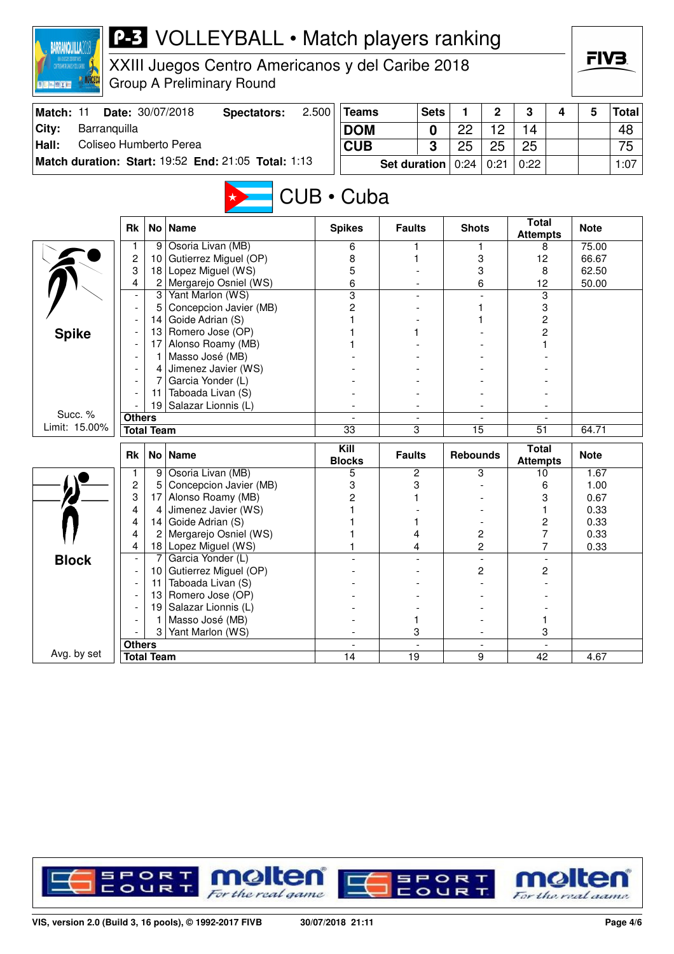| <b>P-3</b> VOLLEYBALL • Match players ranking<br><b>BARRANQUILLA</b><br>XXIII Juegos Centro Americanos y del Caribe 2018<br>STEDAMERICANOS Y DEL CARRE<br><b>Group A Preliminary Round</b> |                                                                   |                   |                                                     |            |                       |                     |             |                 |                |                                 |   | FIV3.          |              |  |
|--------------------------------------------------------------------------------------------------------------------------------------------------------------------------------------------|-------------------------------------------------------------------|-------------------|-----------------------------------------------------|------------|-----------------------|---------------------|-------------|-----------------|----------------|---------------------------------|---|----------------|--------------|--|
| Match: 11                                                                                                                                                                                  |                                                                   |                   | Date: 30/07/2018<br><b>Spectators:</b>              | 2.500      | <b>Teams</b>          |                     | <b>Sets</b> | 1               | $\mathbf 2$    | 3                               | 4 | 5              | <b>Total</b> |  |
| City:<br>Barranquilla                                                                                                                                                                      |                                                                   |                   |                                                     | <b>DOM</b> |                       |                     | 0           | 22              | 12             | 14                              |   |                | 48           |  |
| Hall:<br>Coliseo Humberto Perea                                                                                                                                                            |                                                                   |                   |                                                     |            | <b>CUB</b>            |                     | 3           | 25              | 25             | 25                              |   |                | 75           |  |
|                                                                                                                                                                                            |                                                                   |                   | Match duration: Start: 19:52 End: 21:05 Total: 1:13 |            |                       | <b>Set duration</b> |             | 0:24            | 0:21           | 0:22                            |   |                | 1:07         |  |
| CUB · Cuba<br><b>Total</b>                                                                                                                                                                 |                                                                   |                   |                                                     |            |                       |                     |             |                 |                |                                 |   |                |              |  |
|                                                                                                                                                                                            | <b>Rk</b>                                                         | No <sub>1</sub>   | <b>Name</b>                                         |            | <b>Spikes</b>         | <b>Faults</b>       |             | <b>Shots</b>    |                | <b>Attempts</b>                 |   | <b>Note</b>    |              |  |
|                                                                                                                                                                                            | 1                                                                 | 9                 | Osoria Livan (MB)                                   |            | 6                     | 1                   |             |                 | 1              | 8                               |   | 75.00          |              |  |
|                                                                                                                                                                                            | $\overline{c}$<br>3                                               | 10<br>18          | Gutierrez Miguel (OP)<br>Lopez Miguel (WS)          |            | 8                     |                     |             |                 | 3<br>3         | 12                              |   | 66.67          |              |  |
|                                                                                                                                                                                            | 4                                                                 | $\overline{c}$    | Mergarejo Osniel (WS)                               |            | 5<br>6                |                     |             |                 | 6              | 8<br>12                         |   | 62.50<br>50.00 |              |  |
|                                                                                                                                                                                            | $\overline{3}$<br>Yant Marlon (WS)<br>Concepcion Javier (MB)<br>5 |                   |                                                     |            |                       |                     |             |                 |                | 3                               |   |                |              |  |
|                                                                                                                                                                                            |                                                                   |                   |                                                     |            |                       |                     |             |                 |                | 3                               |   |                |              |  |
|                                                                                                                                                                                            |                                                                   | 14                | Goide Adrian (S)                                    |            |                       |                     |             |                 |                | 2<br>2                          |   |                |              |  |
| <b>Spike</b>                                                                                                                                                                               |                                                                   | 13                | Romero Jose (OP)                                    |            |                       |                     |             |                 |                |                                 |   |                |              |  |
|                                                                                                                                                                                            |                                                                   | 17                | Alonso Roamy (MB)                                   |            |                       |                     |             |                 |                |                                 |   |                |              |  |
|                                                                                                                                                                                            | Masso José (MB)                                                   |                   |                                                     |            |                       |                     |             |                 |                |                                 |   |                |              |  |
|                                                                                                                                                                                            |                                                                   | 4                 | Jimenez Javier (WS)                                 |            |                       |                     |             |                 |                |                                 |   |                |              |  |
|                                                                                                                                                                                            |                                                                   |                   | Garcia Yonder (L)                                   |            |                       |                     |             |                 |                |                                 |   |                |              |  |
|                                                                                                                                                                                            |                                                                   | 11<br>19          | Taboada Livan (S)<br>Salazar Lionnis (L)            |            |                       |                     |             |                 |                |                                 |   |                |              |  |
| Succ. %                                                                                                                                                                                    | <b>Others</b>                                                     |                   |                                                     |            |                       |                     |             |                 |                |                                 |   |                |              |  |
| Limit: 15.00%                                                                                                                                                                              |                                                                   | <b>Total Team</b> |                                                     |            | $\overline{33}$       | 3                   |             | $\overline{15}$ |                | $\overline{51}$                 |   | 64.71          |              |  |
|                                                                                                                                                                                            |                                                                   |                   |                                                     |            |                       |                     |             |                 |                |                                 |   |                |              |  |
|                                                                                                                                                                                            | <b>Rk</b>                                                         | No <sub>1</sub>   | <b>Name</b>                                         |            | Kill<br><b>Blocks</b> | <b>Faults</b>       |             | <b>Rebounds</b> |                | <b>Total</b><br><b>Attempts</b> |   | <b>Note</b>    |              |  |
|                                                                                                                                                                                            | 1                                                                 | 9                 | Osoria Livan (MB)                                   |            | 5                     | 2                   |             |                 | 3              | 10                              |   | 1.67           |              |  |
|                                                                                                                                                                                            | $\overline{c}$                                                    | 5                 | Concepcion Javier (MB)                              |            | 3                     | 3                   |             |                 |                | 6                               |   | 1.00           |              |  |
|                                                                                                                                                                                            | 3<br>4                                                            | 17                | Alonso Roamy (MB)                                   |            | 2                     | 1                   |             |                 |                | 3                               |   | 0.67           |              |  |
|                                                                                                                                                                                            | 4                                                                 | 4<br>14           | Jimenez Javier (WS)<br>Goide Adrian (S)             |            | 1                     | 1                   |             |                 |                | 2                               |   | 0.33<br>0.33   |              |  |
|                                                                                                                                                                                            | 4                                                                 |                   | 2 Mergarejo Osniel (WS)                             |            |                       |                     |             |                 | 2              | 7                               |   | 0.33           |              |  |
|                                                                                                                                                                                            | 4                                                                 |                   | 18 Lopez Miguel (WS)                                |            | 1                     | 4<br>4              |             |                 | $\overline{c}$ | 7                               |   | 0.33           |              |  |
| <b>Block</b>                                                                                                                                                                               |                                                                   |                   | Garcia Yonder (L)                                   |            |                       |                     |             |                 | $\blacksquare$ |                                 |   |                |              |  |
|                                                                                                                                                                                            |                                                                   |                   | 10 Gutierrez Miguel (OP)                            |            |                       |                     |             |                 | $\overline{c}$ | $\overline{c}$                  |   |                |              |  |
|                                                                                                                                                                                            |                                                                   | 11                | Taboada Livan (S)                                   |            |                       |                     |             |                 |                |                                 |   |                |              |  |
|                                                                                                                                                                                            |                                                                   |                   | 13 Romero Jose (OP)                                 |            |                       |                     |             |                 |                |                                 |   |                |              |  |
|                                                                                                                                                                                            |                                                                   | 19                | Salazar Lionnis (L)                                 |            |                       |                     |             |                 |                |                                 |   |                |              |  |
|                                                                                                                                                                                            |                                                                   |                   | Masso José (MB)                                     |            |                       | 1                   |             |                 |                | 1                               |   |                |              |  |
|                                                                                                                                                                                            |                                                                   | 3                 | Yant Marlon (WS)                                    |            |                       | 3                   |             |                 |                | 3                               |   |                |              |  |
| Avg. by set                                                                                                                                                                                | <b>Others</b>                                                     | <b>Total Team</b> |                                                     |            | 14                    | 19                  |             |                 | 9              | 42                              |   | 4.67           |              |  |
|                                                                                                                                                                                            |                                                                   |                   |                                                     |            |                       |                     |             |                 |                |                                 |   |                |              |  |

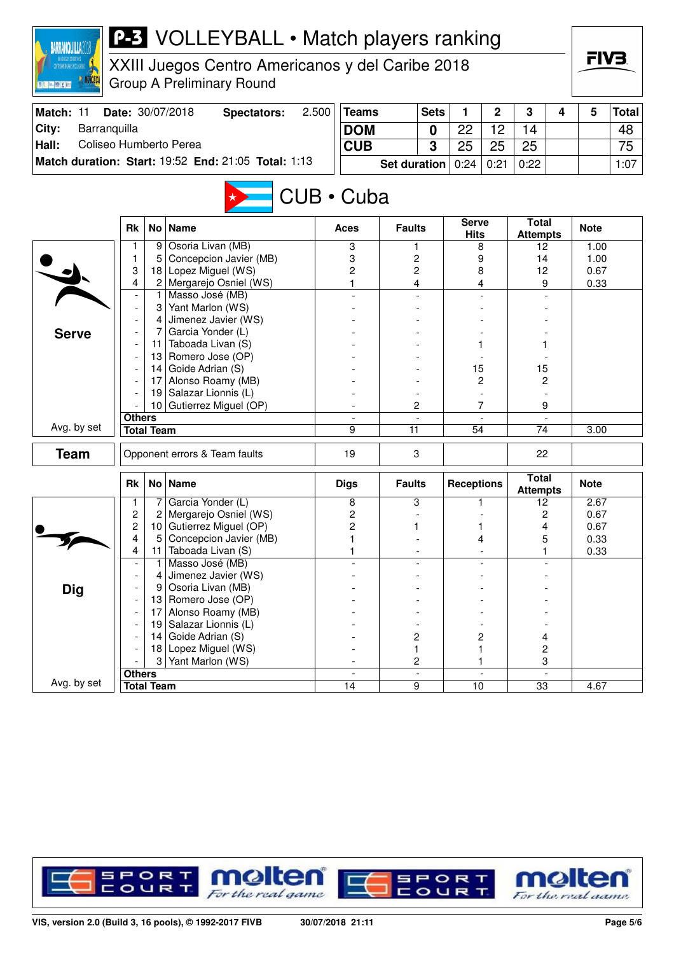| <b>P-3</b> VOLLEYBALL • Match players ranking<br><b>BARRANQUILLA2</b>          |                          |                   |                                                                                      |            |                |                     |                          |                      |                          |                                 |   |              |              |
|--------------------------------------------------------------------------------|--------------------------|-------------------|--------------------------------------------------------------------------------------|------------|----------------|---------------------|--------------------------|----------------------|--------------------------|---------------------------------|---|--------------|--------------|
| ZATTAGANDOROZOZATITUDI<br>Zattagandorozozatigi zatu<br><b>图片 [m] 图 [ X ] 图</b> |                          |                   | XXIII Juegos Centro Americanos y del Caribe 2018<br><b>Group A Preliminary Round</b> |            |                |                     |                          |                      |                          |                                 |   | FIV3.        |              |
| Match: 11                                                                      |                          |                   | Date: 30/07/2018<br><b>Spectators:</b>                                               | 2.500      | <b>Teams</b>   |                     | <b>Sets</b>              | 1                    | $\overline{2}$           | 3                               | 4 | 5            | <b>Total</b> |
| Barranquilla<br>City:                                                          |                          |                   |                                                                                      | <b>DOM</b> |                |                     | $\bf{0}$                 | 22                   | 12                       | 14                              |   |              | 48           |
| Coliseo Humberto Perea<br>Hall:                                                |                          |                   |                                                                                      |            | <b>CUB</b>     |                     | 3                        | 25                   | 25                       | 25                              |   |              | 75           |
|                                                                                |                          |                   | Match duration: Start: 19:52 End: 21:05 Total: 1:13                                  |            |                | <b>Set duration</b> |                          | 0:24                 | 0:21                     | 0:22                            |   |              | 1:07         |
| $CUB \cdot Cuba$                                                               |                          |                   |                                                                                      |            |                |                     |                          |                      |                          |                                 |   |              |              |
|                                                                                | <b>Rk</b>                |                   | No   Name                                                                            |            | Aces           | <b>Faults</b>       |                          | <b>Serve</b><br>Hits |                          | <b>Total</b><br><b>Attempts</b> |   | <b>Note</b>  |              |
|                                                                                | 1                        | 9                 | Osoria Livan (MB)                                                                    |            | 3              | 1                   |                          |                      | 8                        | 12                              |   | 1.00         |              |
|                                                                                | 1                        | 5                 | Concepcion Javier (MB)                                                               |            | 3              | 2                   |                          | 9                    |                          | 14                              |   | 1.00         |              |
|                                                                                | 3<br>4                   | 18                | Lopez Miguel (WS)<br>2 Mergarejo Osniel (WS)                                         |            | 2<br>1         | 2<br>4              |                          | 8                    |                          | 12<br>9                         |   | 0.67<br>0.33 |              |
|                                                                                |                          | 1.                | Masso José (MB)                                                                      |            |                |                     |                          | 4                    |                          |                                 |   |              |              |
|                                                                                | $\overline{a}$           | 31                | Yant Marlon (WS)                                                                     |            |                |                     |                          |                      |                          |                                 |   |              |              |
|                                                                                |                          | 4                 | Jimenez Javier (WS)                                                                  |            |                |                     |                          |                      |                          |                                 |   |              |              |
| <b>Serve</b>                                                                   | Garcia Yonder (L)<br>7   |                   |                                                                                      |            |                |                     |                          |                      |                          |                                 |   |              |              |
|                                                                                | 11                       |                   | Taboada Livan (S)                                                                    |            |                |                     |                          |                      |                          |                                 |   |              |              |
|                                                                                |                          | 13                | Romero Jose (OP)                                                                     |            |                |                     |                          |                      |                          |                                 |   |              |              |
|                                                                                |                          | 14                | Goide Adrian (S)                                                                     |            |                |                     |                          | 15                   |                          | 15                              |   |              |              |
|                                                                                |                          | 17<br>19          | Alonso Roamy (MB)<br>Salazar Lionnis (L)                                             |            |                |                     |                          | $\overline{c}$       |                          | 2                               |   |              |              |
|                                                                                |                          | 10 <sup>1</sup>   | Gutierrez Miguel (OP)                                                                |            |                | 2                   |                          |                      | 7                        | 9                               |   |              |              |
|                                                                                | <b>Others</b>            |                   |                                                                                      |            |                |                     |                          |                      |                          |                                 |   |              |              |
| Avg. by set                                                                    |                          | <b>Total Team</b> |                                                                                      |            | 9              | 11                  |                          | $\overline{54}$      |                          | 74                              |   | 3.00         |              |
| <b>Team</b>                                                                    |                          |                   | Opponent errors & Team faults                                                        |            | 19             | 3                   |                          |                      |                          | 22                              |   |              |              |
|                                                                                | <b>Rk</b>                |                   | No Name                                                                              |            | <b>Digs</b>    | <b>Faults</b>       |                          | <b>Receptions</b>    |                          | <b>Total</b><br><b>Attempts</b> |   | <b>Note</b>  |              |
|                                                                                |                          |                   | Garcia Yonder (L)                                                                    |            | 8              | 3                   |                          |                      |                          | 12                              |   | 2.67         |              |
|                                                                                | $\overline{\mathbf{c}}$  | 2                 | Mergarejo Osniel (WS)                                                                |            | 2              |                     |                          |                      |                          | 2                               |   | 0.67         |              |
|                                                                                | 2                        |                   | 10 Gutierrez Miguel (OP)                                                             |            | $\overline{c}$ | 1                   |                          |                      |                          | 4                               |   | 0.67         |              |
|                                                                                | 4<br>4                   | 5<br>11           | Concepcion Javier (MB)<br>Taboada Livan (S)                                          |            | 1<br>1         |                     |                          | 4                    |                          | 5<br>1                          |   | 0.33<br>0.33 |              |
|                                                                                | $\overline{\phantom{a}}$ | 1                 | Masso José (MB)                                                                      |            |                |                     |                          |                      |                          |                                 |   |              |              |
|                                                                                |                          | 4                 | Jimenez Javier (WS)                                                                  |            |                |                     |                          |                      |                          |                                 |   |              |              |
| <b>Dig</b>                                                                     |                          | 9                 | Osoria Livan (MB)                                                                    |            |                |                     |                          |                      |                          |                                 |   |              |              |
|                                                                                |                          |                   | 13 Romero Jose (OP)                                                                  |            |                |                     |                          |                      |                          |                                 |   |              |              |
|                                                                                |                          | 17                | Alonso Roamy (MB)                                                                    |            |                |                     |                          |                      |                          |                                 |   |              |              |
|                                                                                |                          | 19                | Salazar Lionnis (L)                                                                  |            |                |                     |                          |                      |                          |                                 |   |              |              |
|                                                                                |                          | 14                | Goide Adrian (S)                                                                     |            |                | 2                   |                          | $\overline{c}$       |                          | 4                               |   |              |              |
|                                                                                |                          | 18<br>3           | Lopez Miguel (WS)<br>Yant Marlon (WS)                                                |            |                | 1<br>2              |                          |                      | 1<br>1                   | 2<br>3                          |   |              |              |
|                                                                                | <b>Others</b>            |                   |                                                                                      |            |                |                     | $\overline{\phantom{a}}$ |                      | $\overline{\phantom{a}}$ |                                 |   |              |              |
| Avg. by set                                                                    | <b>Total Team</b>        |                   |                                                                                      |            | 14             | $\overline{9}$      |                          | 10                   |                          | $\overline{33}$                 |   | 4.67         |              |